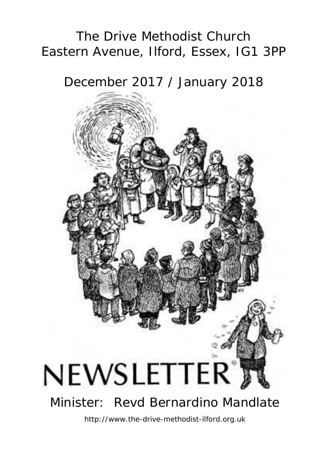# The Drive Methodist Church Eastern Avenue, Ilford, Essex, IG1 3PP

December 2017 / January 2018



http://www.the-drive-methodist-ilford.org.uk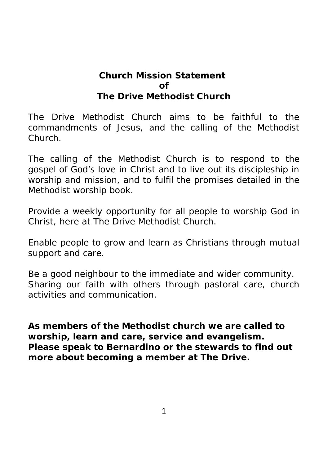### **Church Mission Statement of The Drive Methodist Church**

The Drive Methodist Church aims to be faithful to the commandments of Jesus, and the calling of the Methodist Church.

The calling of the Methodist Church is to respond to the gospel of God's love in Christ and to live out its discipleship in worship and mission, and to fulfil the promises detailed in the Methodist worship book.

Provide a weekly opportunity for all people to worship God in Christ, here at The Drive Methodist Church.

Enable people to grow and learn as Christians through mutual support and care.

Be a good neighbour to the immediate and wider community. Sharing our faith with others through pastoral care, church activities and communication.

**As members of the Methodist church we are called to worship, learn and care, service and evangelism. Please speak to Bernardino or the stewards to find out more about becoming a member at The Drive.**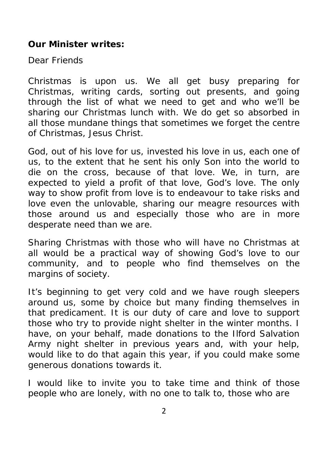**Our Minister writes:**

Dear Friends

Christmas is upon us. We all get busy preparing for Christmas, writing cards, sorting out presents, and going through the list of what we need to get and who we'll be sharing our Christmas lunch with. We do get so absorbed in all those mundane things that sometimes we forget the centre of Christmas, Jesus Christ.

God, out of his love for us, invested his love in us, each one of us, to the extent that he sent his only Son into the world to die on the cross, because of that love. We, in turn, are expected to yield a profit of that love, God's love. The only way to show profit from love is to endeavour to take risks and love even the unlovable, sharing our meagre resources with those around us and especially those who are in more desperate need than we are.

Sharing Christmas with those who will have no Christmas at all would be a practical way of showing God's love to our community, and to people who find themselves on the margins of society.

It's beginning to get very cold and we have rough sleepers around us, some by choice but many finding themselves in that predicament. It is our duty of care and love to support those who try to provide night shelter in the winter months. I have, on your behalf, made donations to the Ilford Salvation Army night shelter in previous years and, with your help, would like to do that again this year, if you could make some generous donations towards it.

I would like to invite you to take time and think of those people who are lonely, with no one to talk to, those who are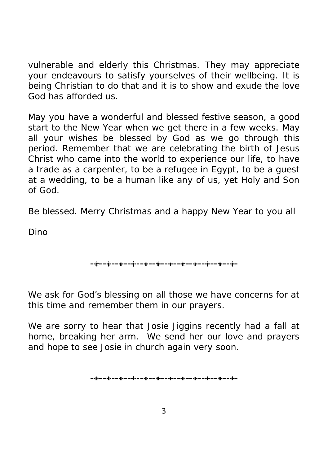vulnerable and elderly this Christmas. They may appreciate your endeavours to satisfy yourselves of their wellbeing. It is being Christian to do that and it is to show and exude the love God has afforded us.

May you have a wonderful and blessed festive season, a good start to the New Year when we get there in a few weeks. May all your wishes be blessed by God as we go through this period. Remember that we are celebrating the birth of Jesus Christ who came into the world to experience our life, to have a trade as a carpenter, to be a refugee in Egypt, to be a guest at a wedding, to be a human like any of us, yet Holy and Son of God.

Be blessed. Merry Christmas and a happy New Year to you all

Dino

$$
\color{blue}{\bullet}+\color{blue}{\bullet}\color{blue}{\bullet}\color{blue}{\bullet}\color{blue}{\bullet}\color{blue}{\bullet}\color{blue}{\bullet}\color{blue}{\bullet}\color{blue}{\bullet}\color{blue}{\bullet}\color{blue}{\bullet}\color{blue}{\bullet}\color{blue}{\bullet}\color{blue}{\bullet}\color{blue}{\bullet}\color{blue}{\bullet}\color{blue}{\bullet}\color{blue}{\bullet}\color{blue}{\bullet}\color{blue}{\bullet}\color{blue}{\bullet}\color{blue}{\bullet}\color{blue}{\bullet}\color{blue}{\bullet}\color{blue}{\bullet}\color{blue}{\bullet}\color{blue}{\bullet}\color{blue}{\bullet}\color{blue}{\bullet}\color{blue}{\bullet}\color{blue}{\bullet}\color{blue}{\bullet}\color{blue}{\bullet}\color{blue}{\bullet}\color{blue}{\bullet}\color{blue}{\bullet}\color{blue}{\bullet}\color{blue}{\bullet}\color{blue}{\bullet}\color{blue}{\bullet}\color{blue}{\bullet}\color{blue}{\bullet}\color{blue}{\bullet}\color{blue}{\bullet}\color{blue}{\bullet}\color{blue}{\bullet}\color{blue}{\bullet}\color{blue}{\bullet}\color{blue}{\bullet}\color{blue}{\bullet}\color{blue}{\bullet}\color{blue}{\bullet}\color{blue}{\bullet}\color{blue}{\bullet}\color{blue}{\bullet}\color{blue}{\bullet}\color{blue}{\bullet}\color{blue}{\bullet}\color{blue}{\bullet}\color{blue}{\bullet}\color{blue}{\bullet}\color{blue}{\bullet}\color{blue}{\bullet}\color{blue}{\bullet}\color{blue}{\bullet}\color{blue}{\bullet}\color{blue}{\bullet}\color{blue}{\bullet}\color{blue}{\bullet}\color{blue}{\bullet}\color{blue}{\bullet}\color{blue}{\bullet}\color{blue}{\bullet}\color{blue}{\bullet}\color{blue}{\bullet}\color{blue}{\bullet}\color{blue}{\bullet}\color{blue}{\bullet}\color{blue}{\bullet}\color{blue}{\bullet}\color{blue}{\bullet}\color{blue}{\bullet}\color{blue}{\bullet}\color{blue}{\bullet}\color{blue}{\bullet}\color{blue}{\bullet}\color{blue}{\bullet}\color{blue}{\bullet}\color{blue}{\bullet}\color{blue}{\bullet}\color{blue}{\bullet}\color{blue}{\bullet}\color{blue}{\bullet}\color{blue}{\bullet}\color{blue}{\bullet}\color{blue}{\bullet}\color{blue}{\bullet}\color{blue}{\bullet}\color{blue}{\bullet}\color{blue}{\bullet}\color{blue}{\bullet}\color{blue}{\bullet}\color{blue}{\bullet}\color{blue}{\bullet}\color{blue}{\bullet}\color{blue}{\bullet}\color{blue}{\bullet}\color{blue}{\bullet}\color{
$$

We ask for God's blessing on all those we have concerns for at this time and remember them in our prayers.

We are sorry to hear that Josie Jiggins recently had a fall at home, breaking her arm. We send her our love and prayers and hope to see Josie in church again very soon.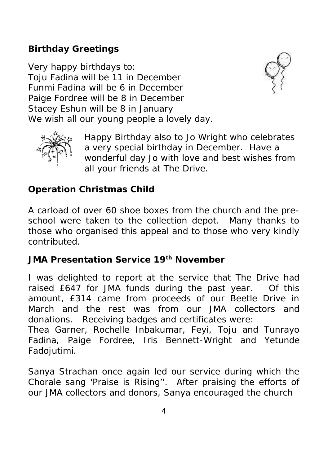**Birthday Greetings**

Very happy birthdays to: Toju Fadina will be 11 in December Funmi Fadina will be 6 in December Paige Fordree will be 8 in December Stacey Eshun will be 8 in January We wish all our young people a lovely day.





Happy Birthday also to Jo Wright who celebrates a very special birthday in December. Have a wonderful day Jo with love and best wishes from all your friends at The Drive.

**Operation Christmas Child**

A carload of over 60 shoe boxes from the church and the pre school were taken to the collection depot. Many thanks to those who organised this appeal and to those who very kindly contributed.

**JMA Presentation Service 19th November**

I was delighted to report at the service that The Drive had raised £647 for JMA funds during the past year. Of this amount, £314 came from proceeds of our Beetle Drive in March and the rest was from our JMA collectors and donations. Receiving badges and certificates were:

Thea Garner, Rochelle Inbakumar, Feyi, Toju and Tunrayo Fadina, Paige Fordree, Iris Bennett-Wright and Yetunde Fadojutimi.

Sanya Strachan once again led our service during which the Chorale sang 'Praise is Rising''. After praising the efforts of our JMA collectors and donors, Sanya encouraged the church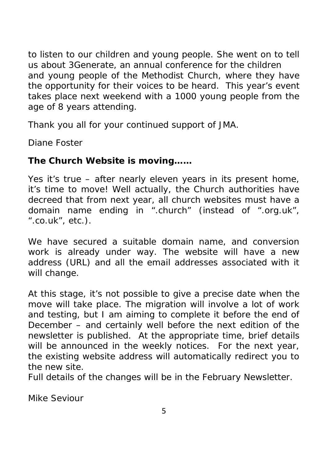to listen to our children and young people. She went on to tell us about 3Generate, an annual conference for the children and young people of the Methodist Church, where they have the opportunity for their voices to be heard. This year's event takes place next weekend with a 1000 young people from the age of 8 years attending.

Thank you all for your continued support of JMA.

Diane Foster

**The Church Website is moving……**

Yes it's true – after nearly eleven years in its present home, it's time to move! Well actually, the Church authorities have decreed that from next year, all church websites must have a domain name ending in *".church"* (instead of *".org.uk", ".co.uk"*, etc.).

We have secured a suitable domain name, and conversion work is already under way. The website will have a new address (URL) and all the email addresses associated with it will change.

At this stage, it's not possible to give a precise date when the move will take place. The migration will involve a lot of work and testing, but I am aiming to complete it before the end of December – and certainly well before the next edition of the newsletter is published. At the appropriate time, brief details will be announced in the weekly notices. For the next year, the existing website address will automatically redirect you to the new site.

Full details of the changes will be in the February Newsletter.

Mike Seviour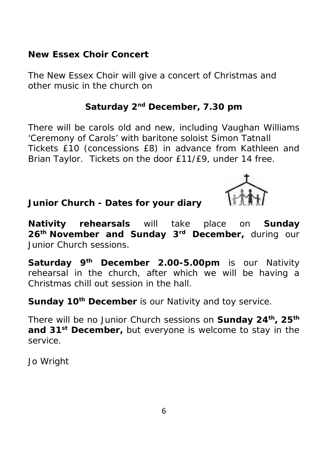**New Essex Choir Concert**

The New Essex Choir will give a concert of Christmas and other music in the church on

**Saturday 2nd December, 7.30 pm**

There will be carols old and new, including Vaughan Williams 'Ceremony of Carols' with baritone soloist Simon Tatnall Tickets £10 (concessions £8) in advance from Kathleen and Brian Taylor. Tickets on the door £11/£9, under 14 free.

**Junior Church - Dates for your diary**

**Nativity rehearsals** will take place on **Sunday 26th November and Sunday 3rd December,** during our Junior Church sessions.

**Saturday 9th December 2.00-5.00pm** is our Nativity rehearsal in the church, after which we will be having a Christmas chill out session in the hall.

**Sunday 10th December** is our Nativity and toy service.

There will be no Junior Church sessions on **Sunday 24th, 25th and 31st December,** but everyone is welcome to stay in the service.

Jo Wright

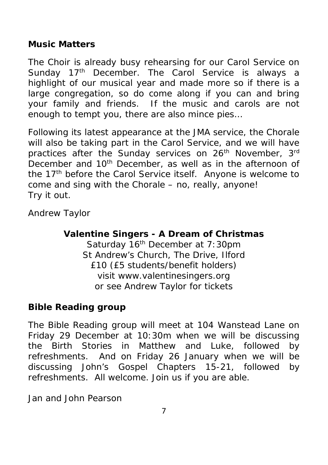**Music Matters**

The Choir is already busy rehearsing for our Carol Service on Sunday 17<sup>th</sup> December. The Carol Service is always a highlight of our musical year and made more so if there is a large congregation, so do come along if you can and bring your family and friends. If the music and carols are not enough to tempt you, there are also mince pies…

Following its latest appearance at the JMA service, the Chorale will also be taking part in the Carol Service, and we will have practices after the Sunday services on 26<sup>th</sup> November, 3<sup>rd</sup> December and 10th December, as well as in the afternoon of the 17<sup>th</sup> before the Carol Service itself. Anyone is welcome to come and sing with the Chorale – no, really, anyone! Try it out.

Andrew Taylor

**Valentine Singers -A Dream of Christmas** Saturday 16<sup>th</sup> December at 7:30pm St Andrew's Church, The Drive, Ilford £10 (£5 students/benefit holders) visit www.valentinesingers.org or see Andrew Taylor for tickets

**Bible Reading group**

The Bible Reading group will meet at 104 Wanstead Lane on Friday 29 December at 10:30m when we will be discussing<br>the Birth Stories in Matthew and Luke, followed by Matthew and Luke, followed by refreshments. And on Friday 26 January when we will be discussing John's Gospel Chapters 15-21, followed by refreshments. All welcome. Join us if you are able.

Jan and John Pearson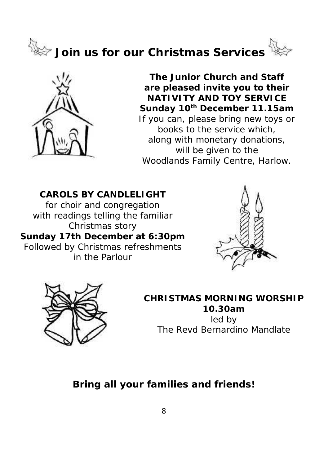



**The Junior Church and Staff are pleased invite you to their NATIVITY AND TOY SERVICE Sunday 10th December 11.15am** If you can, please bring new toys or books to the service which, along with monetary donations, will be given to the Woodlands Family Centre, Harlow.

**CAROLS BY CANDLELIGHT** for choir and congregation with readings telling the familiar Christmas story **Sunday 17th December at 6:30pm** Followed by Christmas refreshments in the Parlour





**CHRISTMAS MORNING WORSHIP 10.30am** led by The Revd Bernardino Mandlate

*Bring all your families and friends!*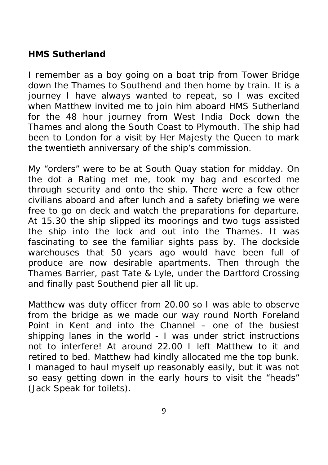**HMS Sutherland**

I remember as a boy going on a boat trip from Tower Bridge down the Thames to Southend and then home by train. It is a journey I have always wanted to repeat, so I was excited when Matthew invited me to join him aboard HMS Sutherland for the 48 hour journey from West India Dock down the Thames and along the South Coast to Plymouth. The ship had been to London for a visit by Her Majesty the Queen to mark the twentieth anniversary of the ship's commission.

My "orders" were to be at South Quay station for midday. On the dot a Rating met me, took my bag and escorted me through security and onto the ship. There were a few other civilians aboard and after lunch and a safety briefing we were free to go on deck and watch the preparations for departure. At 15.30 the ship slipped its moorings and two tugs assisted the ship into the lock and out into the Thames. It was fascinating to see the familiar sights pass by. The dockside warehouses that 50 years ago would have been full of produce are now desirable apartments. Then through the Thames Barrier, past Tate & Lyle, under the Dartford Crossing and finally past Southend pier all lit up.

Matthew was duty officer from 20.00 so I was able to observe from the bridge as we made our way round North Foreland Point in Kent and into the Channel – one of the busiest shipping lanes in the world - I was under strict instructions not to interfere! At around 22.00 I left Matthew to it and retired to bed. Matthew had kindly allocated me the top bunk. I managed to haul myself up reasonably easily, but it was not so easy getting down in the early hours to visit the "heads" (Jack Speak for toilets).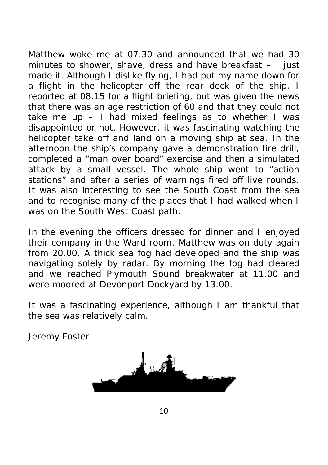Matthew woke me at 07.30 and announced that we had 30 minutes to shower, shave, dress and have breakfast – I just made it. Although I dislike flying, I had put my name down for a flight in the helicopter off the rear deck of the ship. I reported at 08.15 for a flight briefing, but was given the news that there was an age restriction of 60 and that they could not take me up  $-1$  had mixed feelings as to whether I was disappointed or not. However, it was fascinating watching the helicopter take off and land on a moving ship at sea. In the afternoon the ship's company gave a demonstration fire drill, completed a "man over board" exercise and then a simulated attack by a small vessel. The whole ship went to "action stations" and after a series of warnings fired off live rounds. It was also interesting to see the South Coast from the sea and to recognise many of the places that I had walked when I was on the South West Coast path.

In the evening the officers dressed for dinner and I enjoyed their company in the Ward room. Matthew was on duty again from 20.00. A thick sea fog had developed and the ship was navigating solely by radar. By morning the fog had cleared and we reached Plymouth Sound breakwater at 11.00 and were moored at Devonport Dockyard by 13.00.

It was a fascinating experience, although I am thankful that the sea was relatively calm.

Jeremy Foster



10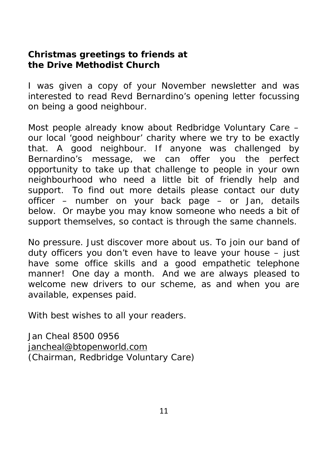**Christmas greetings to friends at the Drive Methodist Church**

I was given a copy of your November newsletter and was interested to read Revd Bernardino's opening letter focussing on being a good neighbour.

Most people already know about Redbridge Voluntary Care – our local 'good neighbour' charity where we try to be exactly that. A good neighbour. If anyone was challenged by Bernardino's message, we can offer you the perfect opportunity to take up that challenge to people in your own neighbourhood who need a little bit of friendly help and support. To find out more details please contact our duty officer – number on your back page – or Jan, details below. Or maybe you may know someone who needs a bit of support themselves, so contact is through the same channels.

No pressure. Just discover more about us. To join our band of duty officers you don't even have to leave your house – just have some office skills and a good empathetic telephone manner! One day a month. And we are always pleased to welcome new drivers to our scheme, as and when you are available, expenses paid.

With best wishes to all your readers.

Jan Cheal 8500 0956 jancheal@btopenworld.com (Chairman, Redbridge Voluntary Care)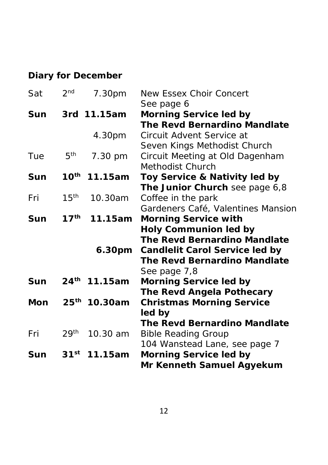# **Diary for December**

| Sat | 2 <sub>nd</sub>  | 7.30pm                   | New Essex Choir Concert              |
|-----|------------------|--------------------------|--------------------------------------|
| Sun |                  | 3rd 11.15am              | See page 6<br>Morning Service led by |
|     |                  |                          | The Revd Bernardino Mandlate         |
|     |                  | 4.30pm                   | Circuit Advent Service at            |
|     |                  |                          | Seven Kings Methodist Church         |
| Tue | $5^{\text{th}}$  | 7.30 pm                  | Circuit Meeting at Old Dagenham      |
|     |                  |                          | Methodist Church                     |
| Sun |                  | $10^{th}$ 11.15am        | Toy Service & Nativity led by        |
|     |                  |                          | The Junior Church see page 6,8       |
| Fri | 15 <sup>th</sup> | 10.30am                  | Coffee in the park                   |
|     |                  |                          | Gardeners Café, Valentines Mansion   |
| Sun | $17^{\text{th}}$ | 11.15am                  | Morning Service with                 |
|     |                  |                          | Holy Communion led by                |
|     |                  |                          | The Revd Bernardino Mandlate         |
|     |                  | 6.30pm                   | Candlelit Carol Service led by       |
|     |                  |                          | The Revd Bernardino Mandlate         |
|     |                  |                          | See page 7,8                         |
| Sun |                  | 24 <sup>th</sup> 11.15am | Morning Service led by               |
|     |                  |                          | The Revd Angela Pothecary            |
| Mon |                  | 25 <sup>th</sup> 10.30am | <b>Christmas Morning Service</b>     |
|     |                  |                          | led by                               |
|     |                  |                          | The Revd Bernardino Mandlate         |
| Fri | 29 <sup>th</sup> | 10.30 am                 | <b>Bible Reading Group</b>           |
|     |                  |                          | 104 Wanstead Lane, see page 7        |
| Sun | 31 <sup>st</sup> | 11.15am                  | Morning Service led by               |
|     |                  |                          | Mr Kenneth Samuel Agyekum            |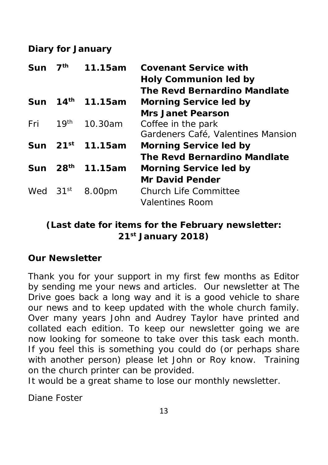**Diary for January**

| 7 <sup>th</sup><br>Sun |                      | 11.15am                      | Covenant Service with              |
|------------------------|----------------------|------------------------------|------------------------------------|
|                        |                      |                              | Holy Communion led by              |
|                        |                      |                              | The Revd Bernardino Mandlate       |
| Sun                    |                      | 14 <sup>th</sup> 11.15am     | Morning Service led by             |
|                        |                      |                              | Mrs Janet Pearson                  |
| Fri                    | 19 <sup>th</sup>     | 10.30am                      | Coffee in the park                 |
|                        |                      |                              | Gardeners Café, Valentines Mansion |
|                        |                      | Sun 21 <sup>st</sup> 11.15am | Morning Service led by             |
|                        |                      |                              | The Revd Bernardino Mandlate       |
|                        | Sun 28 <sup>th</sup> | 11.15am                      | Morning Service led by             |
|                        |                      |                              | Mr David Pender                    |
| Wed $31st$             |                      | 8.00pm                       | Church Life Committee              |
|                        |                      |                              | Valentines Room                    |
|                        |                      |                              |                                    |

*(Last date for items for the February newsletter: 21st January 2018)*

**Our Newsletter**

Thank you for your support in my first few months as Editor by sending me your news and articles. Our newsletter at The Drive goes back a long way and it is a good vehicle to share our news and to keep updated with the whole church family. Over many years John and Audrey Taylor have printed and collated each edition. To keep our newsletter going we are now looking for someone to take over this task each month. If you feel this is something you could do (or perhaps share with another person) please let John or Roy know. Training on the church printer can be provided.

It would be a great shame to lose our monthly newsletter.

Diane Foster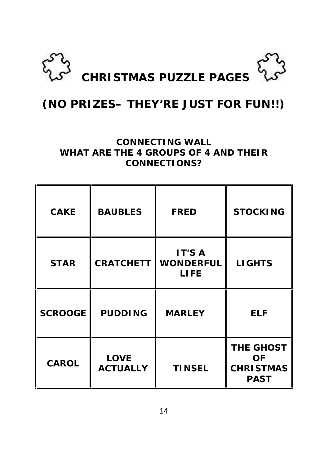

# **(NO PRIZES– THEY'RE JUST FOR FUN!!)**

#### **CONNECTING WALL WHAT ARE THE 4 GROUPS OF 4 AND THEIR CONNECTIONS?**

| CAKE           | <b>BAUBLES</b>          | <b>FRED</b>                 | <b>STOCKING</b>                                    |  |
|----------------|-------------------------|-----------------------------|----------------------------------------------------|--|
| <b>STAR</b>    | <b>CRATCHETT</b>        | IT'S A<br>WONDERFUL<br>LIFE | <b>LIGHTS</b>                                      |  |
| <b>SCROOGE</b> | <b>PUDDING</b>          | <b>MARLEY</b>               | <b>ELF</b>                                         |  |
| CAROL          | LOVE<br><b>ACTUALLY</b> | <b>TINSEL</b>               | THE GHOST<br>OF<br><b>CHRISTMAS</b><br><b>PAST</b> |  |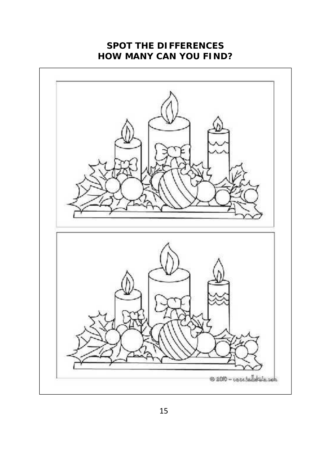## **SPOT THE DIFFERENCES HOW MANY CAN YOU FIND?**

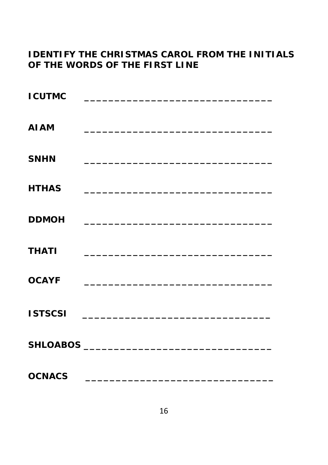# **I DENTIFY THE CHRISTMAS CAROL FROM THE INITIALS** OF THE WORDS OF THE FIRST LINE

| <b>ICUTMC</b>  |                                                                                           |                                                                                                                      |  |
|----------------|-------------------------------------------------------------------------------------------|----------------------------------------------------------------------------------------------------------------------|--|
| <b>AI AM</b>   | <u> 1980 - Johann John Stone, mars et al. (</u>                                           |                                                                                                                      |  |
| <b>SNHN</b>    |                                                                                           | <u> 1989 - Jan Barat, margaret amerikan bahasa di sebagai bagi dan bagi dan bagi dan bagi dan bagi dan bagi dan </u> |  |
| <b>HTHAS</b>   |                                                                                           |                                                                                                                      |  |
| <b>DDMOH</b>   | the control of the control of the control of the control of the control of the control of |                                                                                                                      |  |
| <b>THATI</b>   |                                                                                           |                                                                                                                      |  |
| <b>OCAYF</b>   |                                                                                           |                                                                                                                      |  |
| <b>ISTSCSI</b> |                                                                                           |                                                                                                                      |  |
|                |                                                                                           |                                                                                                                      |  |
| <b>OCNACS</b>  |                                                                                           | <u> 1989 - Johann John Stein, mars and de British and de British and de British and de British and de British an</u> |  |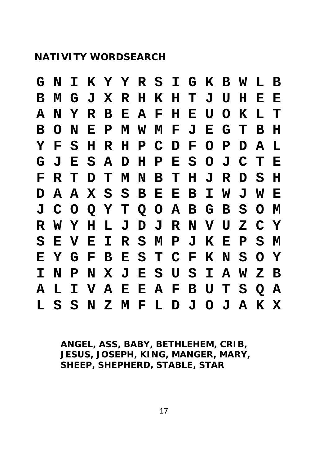### **NATIVITY WORDSEARCH**

|  |  |  |  |  |  | G N I K Y Y R S I G K B W L B |  |  |
|--|--|--|--|--|--|-------------------------------|--|--|
|  |  |  |  |  |  | B M G J X R H K H T J U H E E |  |  |
|  |  |  |  |  |  | A N Y R B E A F H E U O K L T |  |  |
|  |  |  |  |  |  | BONEPMWMFJEGTBH               |  |  |
|  |  |  |  |  |  | Y F S H R H P C D F O P D A L |  |  |
|  |  |  |  |  |  | G J E S A D H P E S O J C T E |  |  |
|  |  |  |  |  |  | F R T D T M N B T H J R D S H |  |  |
|  |  |  |  |  |  | D A A X S S B E E B I W J W E |  |  |
|  |  |  |  |  |  | J C O Q Y T Q O A B G B S O M |  |  |
|  |  |  |  |  |  | R W Y H L J D J R N V U Z C Y |  |  |
|  |  |  |  |  |  | S E V E I R S M P J K E P S M |  |  |
|  |  |  |  |  |  | EYGFBESTCFKNSOY               |  |  |
|  |  |  |  |  |  | I N P N X J E S U S I A W Z B |  |  |
|  |  |  |  |  |  | A L I V A E E A F B U T S Q A |  |  |
|  |  |  |  |  |  | L S S N Z M F L D J O J A K X |  |  |

**ANGEL, ASS, BABY, BETHLEHEM, CRIB, JESUS, JOSEPH, KING, MANGER, MARY, SHEEP, SHEPHERD, STABLE, STAR**